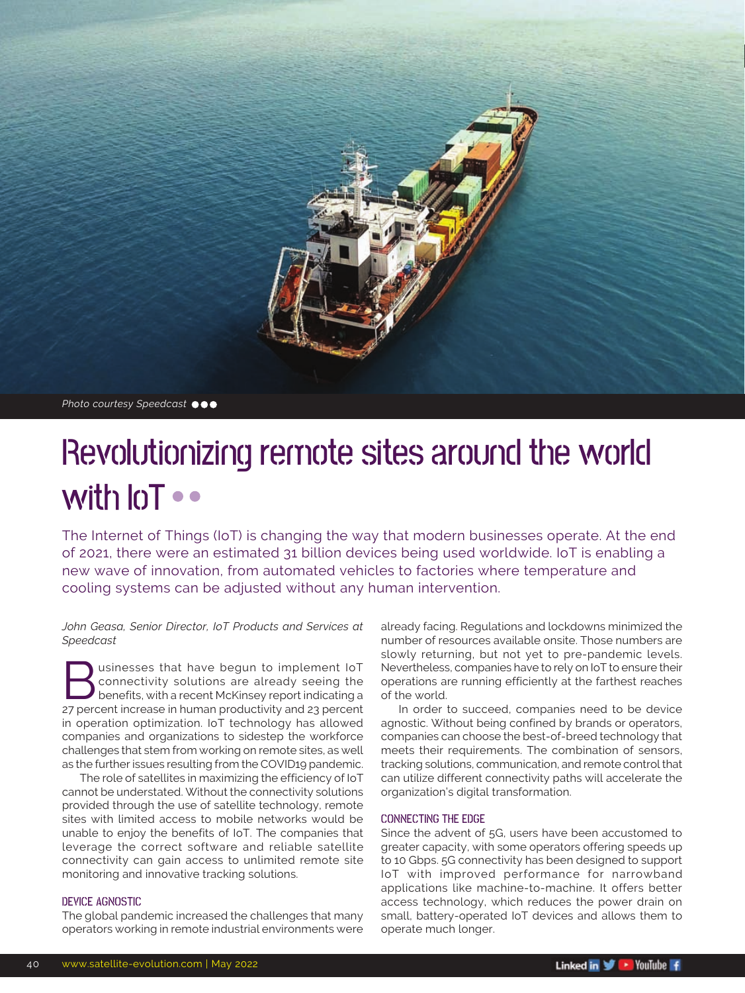

*Photo courtesy Speedcast*

## Revolutionizing remote sites around the world with **IoT** ••

The Internet of Things (IoT) is changing the way that modern businesses operate. At the end of 2021, there were an estimated 31 billion devices being used worldwide. IoT is enabling a new wave of innovation, from automated vehicles to factories where temperature and cooling systems can be adjusted without any human intervention.

*John Geasa, Senior Director, IoT Products and Services at Speedcast*

usinesses that have begun to implement IoT connectivity solutions are already seeing the benefits, with a recent McKinsey report indicating a 27 percent increase in human productivity and 23 percent in operation optimization. IoT technology has allowed companies and organizations to sidestep the workforce challenges that stem from working on remote sites, as well as the further issues resulting from the COVID19 pandemic.

The role of satellites in maximizing the efficiency of IoT cannot be understated. Without the connectivity solutions provided through the use of satellite technology, remote sites with limited access to mobile networks would be unable to enjoy the benefits of IoT. The companies that leverage the correct software and reliable satellite connectivity can gain access to unlimited remote site monitoring and innovative tracking solutions.

#### DEVICE AGNOSTIC

The global pandemic increased the challenges that many operators working in remote industrial environments were already facing. Regulations and lockdowns minimized the number of resources available onsite. Those numbers are slowly returning, but not yet to pre-pandemic levels. Nevertheless, companies have to rely on IoT to ensure their operations are running efficiently at the farthest reaches of the world.

In order to succeed, companies need to be device agnostic. Without being confined by brands or operators, companies can choose the best-of-breed technology that meets their requirements. The combination of sensors, tracking solutions, communication, and remote control that can utilize different connectivity paths will accelerate the organization's digital transformation.

#### CONNECTING THE EDGE

Since the advent of 5G, users have been accustomed to greater capacity, with some operators offering speeds up to 10 Gbps. 5G connectivity has been designed to support IoT with improved performance for narrowband applications like machine-to-machine. It offers better access technology, which reduces the power drain on small, battery-operated IoT devices and allows them to operate much longer.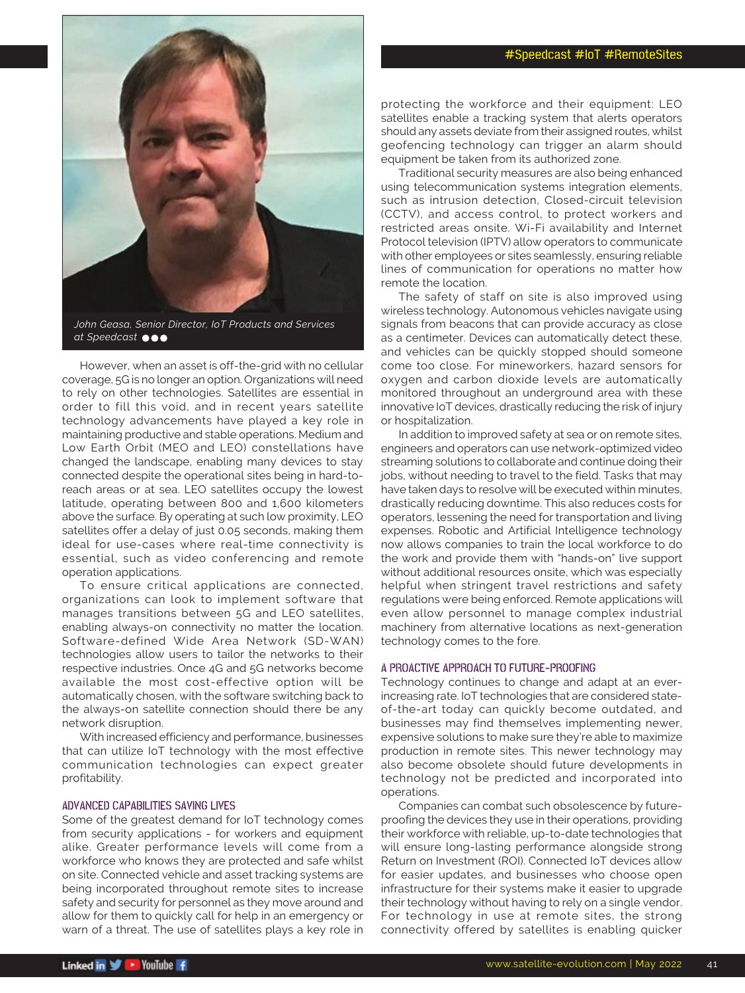### #Speedcast #IoT #RemoteSites



*John Geasa, Senior Director, IoT Products and Services at Speedcast*

However, when an asset is off-the-grid with no cellular coverage, 5G is no longer an option. Organizations will need to rely on other technologies. Satellites are essential in order to fill this void, and in recent years satellite technology advancements have played a key role in maintaining productive and stable operations. Medium and Low Earth Orbit (MEO and LEO) constellations have changed the landscape, enabling many devices to stay connected despite the operational sites being in hard-toreach areas or at sea. LEO satellites occupy the lowest latitude, operating between 800 and 1,600 kilometers above the surface. By operating at such low proximity, LEO satellites offer a delay of just 0.05 seconds, making them ideal for use-cases where real-time connectivity is essential, such as video conferencing and remote operation applications.

To ensure critical applications are connected, organizations can look to implement software that manages transitions between 5G and LEO satellites, enabling always-on connectivity no matter the location. Software-defined Wide Area Network (SD-WAN) technologies allow users to tailor the networks to their respective industries. Once 4G and 5G networks become available the most cost-effective option will be automatically chosen, with the software switching back to the always-on satellite connection should there be any network disruption.

With increased efficiency and performance, businesses that can utilize IoT technology with the most effective communication technologies can expect greater profitability.

#### ADVANCED CAPABILITIES SAVING LIVES

Some of the greatest demand for IoT technology comes from security applications - for workers and equipment alike. Greater performance levels will come from a workforce who knows they are protected and safe whilst on site. Connected vehicle and asset tracking systems are being incorporated throughout remote sites to increase safety and security for personnel as they move around and allow for them to quickly call for help in an emergency or warn of a threat. The use of satellites plays a key role in

protecting the workforce and their equipment: LEO satellites enable a tracking system that alerts operators should any assets deviate from their assigned routes, whilst geofencing technology can trigger an alarm should equipment be taken from its authorized zone.

Traditional security measures are also being enhanced using telecommunication systems integration elements, such as intrusion detection, Closed-circuit television (CCTV), and access control, to protect workers and restricted areas onsite. Wi-Fi availability and Internet Protocol television (IPTV) allow operators to communicate with other employees or sites seamlessly, ensuring reliable lines of communication for operations no matter how remote the location.

The safety of staff on site is also improved using wireless technology. Autonomous vehicles navigate using signals from beacons that can provide accuracy as close as a centimeter. Devices can automatically detect these, and vehicles can be quickly stopped should someone come too close. For mineworkers, hazard sensors for oxygen and carbon dioxide levels are automatically monitored throughout an underground area with these innovative IoT devices, drastically reducing the risk of injury or hospitalization.

In addition to improved safety at sea or on remote sites, engineers and operators can use network-optimized video streaming solutions to collaborate and continue doing their jobs, without needing to travel to the field. Tasks that may have taken days to resolve will be executed within minutes, drastically reducing downtime. This also reduces costs for operators, lessening the need for transportation and living expenses. Robotic and Artificial Intelligence technology now allows companies to train the local workforce to do the work and provide them with "hands-on" live support without additional resources onsite, which was especially helpful when stringent travel restrictions and safety regulations were being enforced. Remote applications will even allow personnel to manage complex industrial machinery from alternative locations as next-generation technology comes to the fore.

#### A PROACTIVE APPROACH TO FUTURE-PROOFING

Technology continues to change and adapt at an everincreasing rate. IoT technologies that are considered stateof-the-art today can quickly become outdated, and businesses may find themselves implementing newer, expensive solutions to make sure they're able to maximize production in remote sites. This newer technology may also become obsolete should future developments in technology not be predicted and incorporated into operations.

Companies can combat such obsolescence by futureproofing the devices they use in their operations, providing their workforce with reliable, up-to-date technologies that will ensure long-lasting performance alongside strong Return on Investment (ROI). Connected IoT devices allow for easier updates, and businesses who choose open infrastructure for their systems make it easier to upgrade their technology without having to rely on a single vendor. For technology in use at remote sites, the strong connectivity offered by satellites is enabling quicker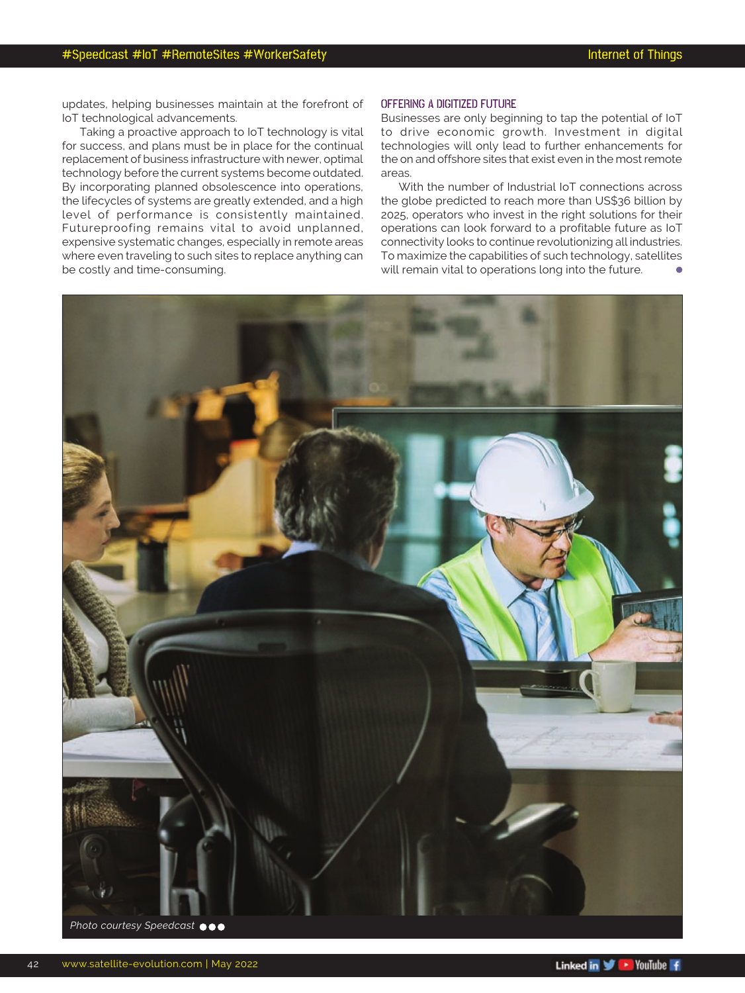updates, helping businesses maintain at the forefront of IoT technological advancements.

Taking a proactive approach to IoT technology is vital for success, and plans must be in place for the continual replacement of business infrastructure with newer, optimal technology before the current systems become outdated. By incorporating planned obsolescence into operations, the lifecycles of systems are greatly extended, and a high level of performance is consistently maintained. Futureproofing remains vital to avoid unplanned, expensive systematic changes, especially in remote areas where even traveling to such sites to replace anything can be costly and time-consuming.

#### OFFERING A DIGITIZED FUTURE

Businesses are only beginning to tap the potential of IoT to drive economic growth. Investment in digital technologies will only lead to further enhancements for the on and offshore sites that exist even in the most remote areas.

With the number of Industrial IoT connections across the globe predicted to reach more than US\$36 billion by 2025, operators who invest in the right solutions for their operations can look forward to a profitable future as IoT connectivity looks to continue revolutionizing all industries. To maximize the capabilities of such technology, satellites will remain vital to operations long into the future.